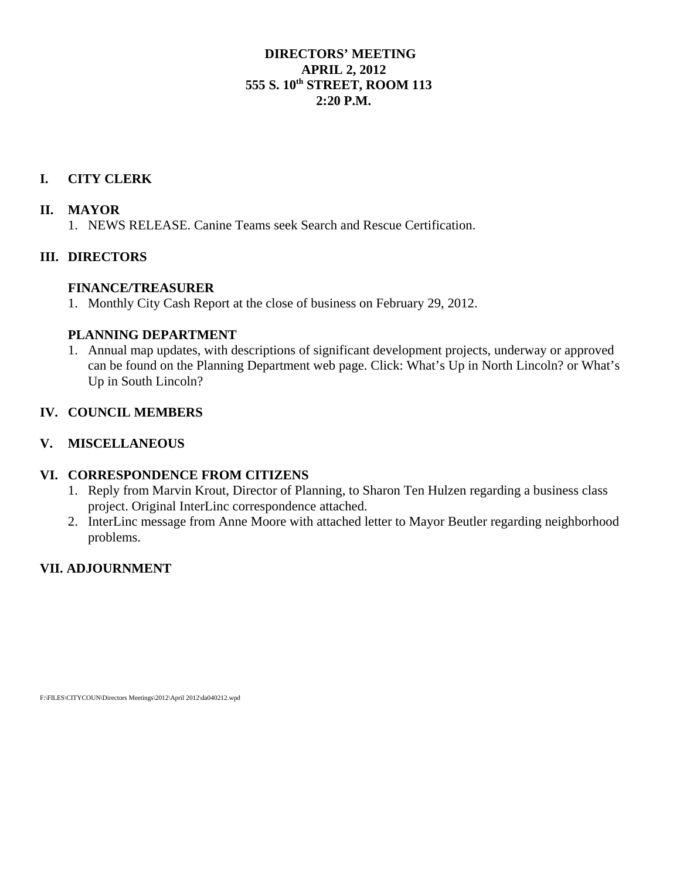### **DIRECTORS' MEETING APRIL 2, 2012 555 S. 10th STREET, ROOM 113**  $2:20 \text{ P M}$

### **I. CITY CLERK**

### **II. MAYOR**

1. NEWS RELEASE. Canine Teams seek Search and Rescue Certification.

### **III. DIRECTORS**

### **FINANCE/TREASURER**

1. Monthly City Cash Report at the close of business on February 29, 2012.

### **PLANNING DEPARTMENT**

1. Annual map updates, with descriptions of significant development projects, underway or approved can be found on the Planning Department web page. Click: What's Up in North Lincoln? or What's Up in South Lincoln?

### **IV. COUNCIL MEMBERS**

### **V. MISCELLANEOUS**

### **VI. CORRESPONDENCE FROM CITIZENS**

- 1. Reply from Marvin Krout, Director of Planning, to Sharon Ten Hulzen regarding a business class project. Original InterLinc correspondence attached.
- 2. InterLinc message from Anne Moore with attached letter to Mayor Beutler regarding neighborhood problems.

### **VII. ADJOURNMENT**

F:\FILES\CITYCOUN\Directors Meetings\2012\April 2012\da040212.wpd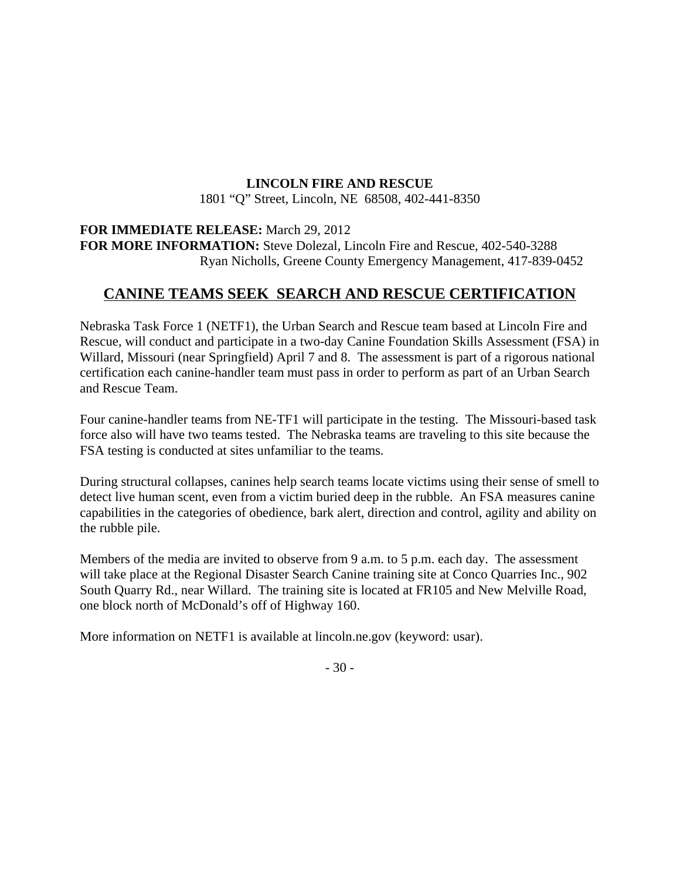### **LINCOLN FIRE AND RESCUE**

1801 "Q" Street, Lincoln, NE 68508, 402-441-8350

### **FOR IMMEDIATE RELEASE:** March 29, 2012

**FOR MORE INFORMATION:** Steve Dolezal, Lincoln Fire and Rescue, 402-540-3288 Ryan Nicholls, Greene County Emergency Management, 417-839-0452

### **CANINE TEAMS SEEK SEARCH AND RESCUE CERTIFICATION**

Nebraska Task Force 1 (NETF1), the Urban Search and Rescue team based at Lincoln Fire and Rescue, will conduct and participate in a two-day Canine Foundation Skills Assessment (FSA) in Willard, Missouri (near Springfield) April 7 and 8. The assessment is part of a rigorous national certification each canine-handler team must pass in order to perform as part of an Urban Search and Rescue Team.

Four canine-handler teams from NE-TF1 will participate in the testing. The Missouri-based task force also will have two teams tested. The Nebraska teams are traveling to this site because the FSA testing is conducted at sites unfamiliar to the teams.

During structural collapses, canines help search teams locate victims using their sense of smell to detect live human scent, even from a victim buried deep in the rubble. An FSA measures canine capabilities in the categories of obedience, bark alert, direction and control, agility and ability on the rubble pile.

Members of the media are invited to observe from 9 a.m. to 5 p.m. each day. The assessment will take place at the Regional Disaster Search Canine training site at Conco Quarries Inc., 902 South Quarry Rd., near Willard. The training site is located at FR105 and New Melville Road, one block north of McDonald's off of Highway 160.

More information on NETF1 is available at lincoln.ne.gov (keyword: usar).

- 30 -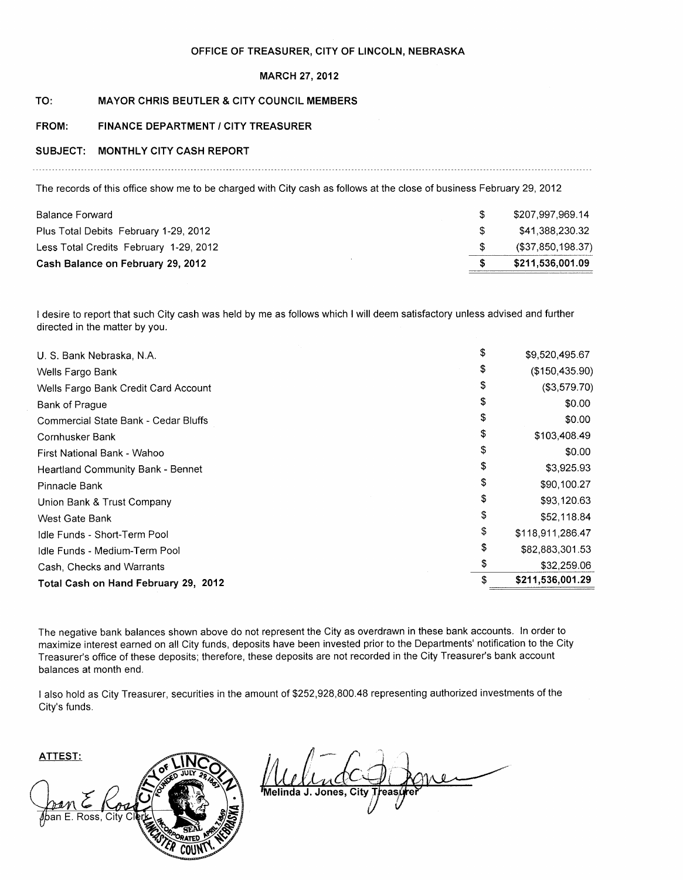### OFFICE OF TREASURER, CITY OF LINCOLN, NEBRASKA

### **MARCH 27, 2012**

### TO: MAYOR CHRIS BEUTLER & CITY COUNCIL MEMBERS

### FROM: **FINANCE DEPARTMENT / CITY TREASURER**

### SUBJECT: MONTHLY CITY CASH REPORT

The records of this office show me to be charged with City cash as follows at the close of business February 29, 2012

| Cash Balance on February 29, 2012      | \$211.536.001.09     |
|----------------------------------------|----------------------|
| Less Total Credits February 1-29, 2012 | $($ \$37,850,198.37) |
| Plus Total Debits February 1-29, 2012  | \$41.388.230.32      |
| Balance Forward                        | \$207.997.969.14     |

I desire to report that such City cash was held by me as follows which I will deem satisfactory unless advised and further directed in the matter by you.

| U. S. Bank Nebraska, N.A.                | \$<br>\$9,520,495.67   |
|------------------------------------------|------------------------|
| Wells Fargo Bank                         | (\$150,435.90)         |
| Wells Fargo Bank Credit Card Account     | (\$3,579.70)           |
| Bank of Prague                           | \$0.00                 |
| Commercial State Bank - Cedar Bluffs     | \$0.00                 |
| Cornhusker Bank                          | \$<br>\$103,408.49     |
| First National Bank - Wahoo              | \$<br>\$0.00           |
| <b>Heartland Community Bank - Bennet</b> | \$<br>\$3,925.93       |
| Pinnacle Bank                            | \$<br>\$90,100.27      |
| Union Bank & Trust Company               | \$<br>\$93,120.63      |
| West Gate Bank                           | \$<br>\$52,118.84      |
| Idle Funds - Short-Term Pool             | \$<br>\$118,911,286.47 |
| Idle Funds - Medium-Term Pool            | \$<br>\$82,883,301.53  |
| Cash, Checks and Warrants                | \$<br>\$32,259.06      |
| Total Cash on Hand February 29, 2012     | \$<br>\$211,536,001.29 |

The negative bank balances shown above do not represent the City as overdrawn in these bank accounts. In order to maximize interest earned on all City funds, deposits have been invested prior to the Departments' notification to the City Treasurer's office of these deposits; therefore, these deposits are not recorded in the City Treasurer's bank account balances at month end.

I also hold as City Treasurer, securities in the amount of \$252,928,800.48 representing authorized investments of the City's funds.

**ATTEST:** E. Ross. City

′Melinda J. Jones, Cit<sub>)</sub>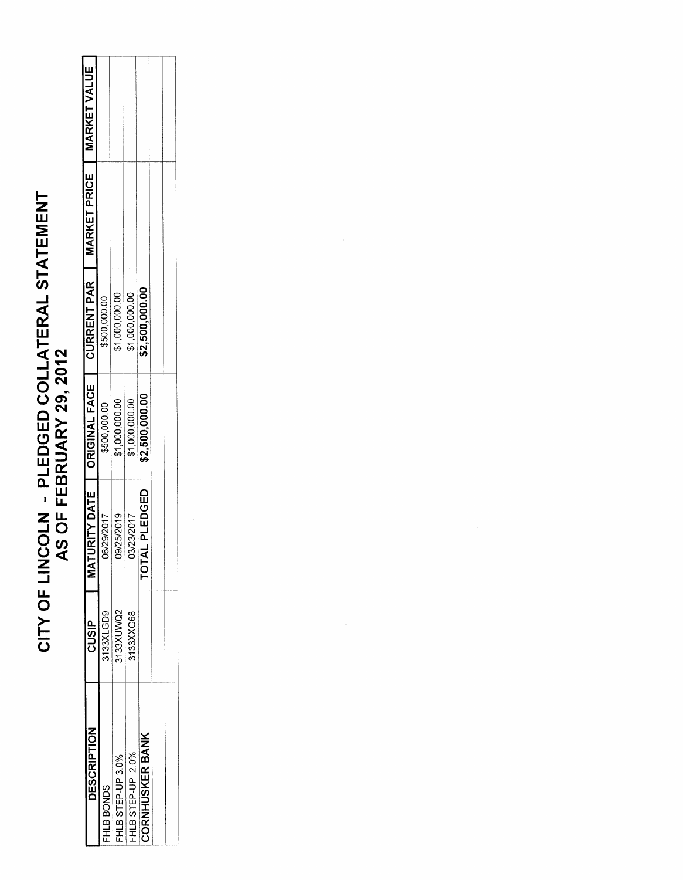# CITY OF LINCOLN - PLEDGED COLLATERAL STATEMENT<br>AS OF FEBRUARY 29, 2012

| <b>DESCRIPTION</b> | CUSIP      | MATU.                | TURITY DATE   ORIGINAL FACE   CURRENT PAR |                | MARKET PRICE | <b>MARKET VALUE</b> |
|--------------------|------------|----------------------|-------------------------------------------|----------------|--------------|---------------------|
| FHLB BONDS         | 133XLGD9   | 06/29/2017           | \$500,000.00                              | \$500,000.00   |              |                     |
| THLB STEP UP 3.0%  | 133XUWQ2   | 09/25/2019           | \$1,000,000.00                            | \$1,000,000.00 |              |                     |
| FHLB STEP-UP 2.0%  | \$133XXG68 | 03/23/2017           | \$1,000,000.00                            | \$1,000,000.00 |              |                     |
| CORNHUSKER BANK    |            | <b>TOTAL PLEDGED</b> | \$2,500,000.00                            | \$2,500,000.00 |              |                     |
|                    |            |                      |                                           |                |              |                     |
|                    |            |                      |                                           |                |              |                     |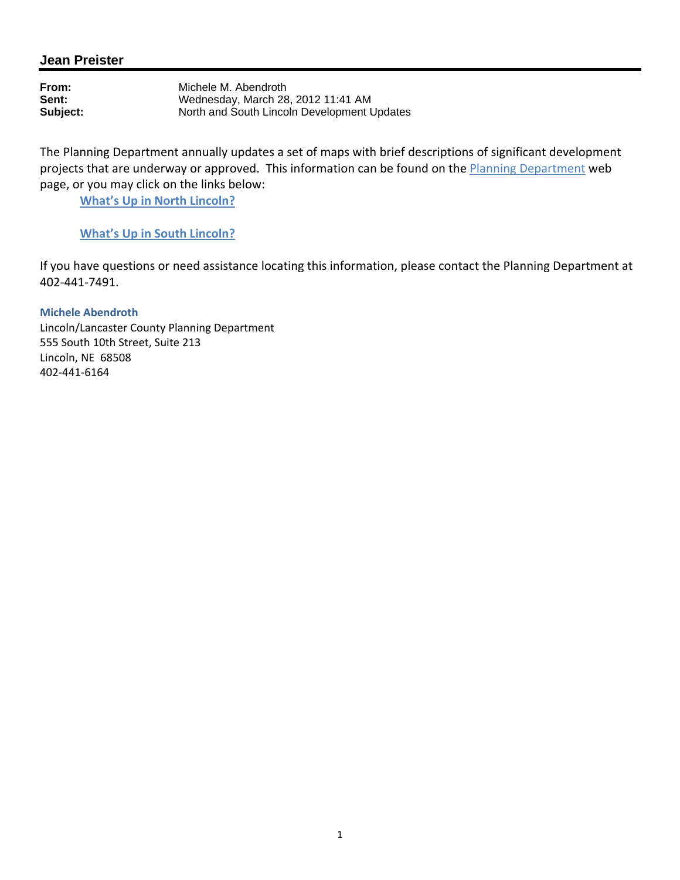### **Jean Preister**

**From:** Michele M. Abendroth<br> **Sent:** Wednesdav. March 28 **Sent:** Wednesday, March 28, 2012 11:41 AM<br> **Subject:** North and South Lincoln Development U North and South Lincoln Development Updates

The Planning Department annually updates a set of maps with brief descriptions of significant development projects that are underway or approved. This information can be found on the **Planning Department** web page, or you may click on the links below:

**What's Up in North Lincoln?** 

### **What's Up in South Lincoln?**

If you have questions or need assistance locating this information, please contact the Planning Department at 402‐441‐7491.

### **Michele Abendroth**

Lincoln/Lancaster County Planning Department 555 South 10th Street, Suite 213 Lincoln, NE 68508 402‐441‐6164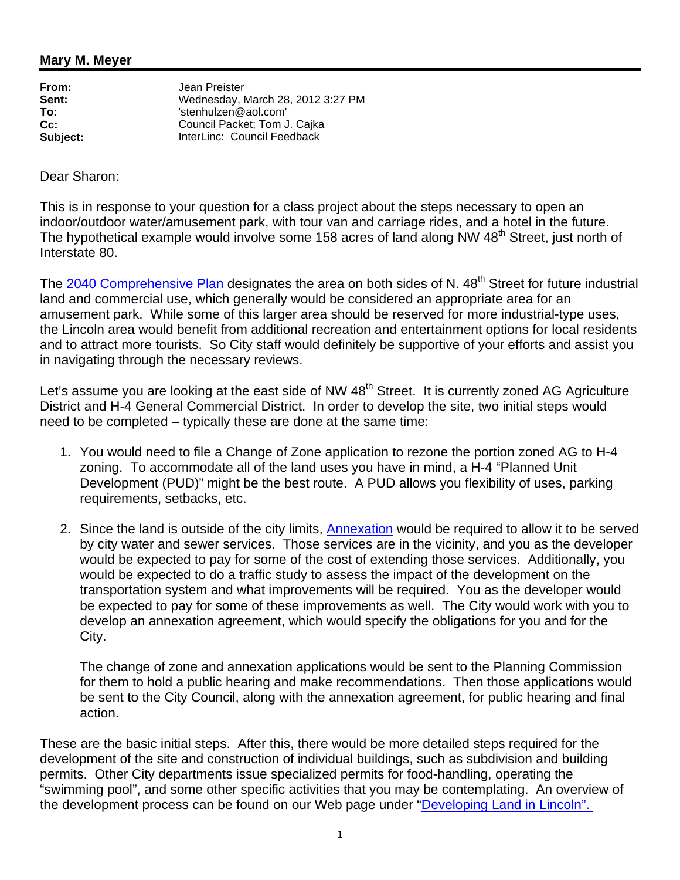### **Mary M. Meyer**

| From:    | Jean Preister                     |
|----------|-----------------------------------|
| Sent:    | Wednesday, March 28, 2012 3:27 PM |
| To:      | 'stenhulzen@aol.com'              |
| Cc:      | Council Packet; Tom J. Cajka      |
| Subject: | InterLinc: Council Feedback       |

Dear Sharon:

This is in response to your question for a class project about the steps necessary to open an indoor/outdoor water/amusement park, with tour van and carriage rides, and a hotel in the future. The hypothetical example would involve some 158 acres of land along NW 48<sup>th</sup> Street, just north of Interstate 80.

The 2040 Comprehensive Plan designates the area on both sides of N. 48<sup>th</sup> Street for future industrial land and commercial use, which generally would be considered an appropriate area for an amusement park. While some of this larger area should be reserved for more industrial-type uses, the Lincoln area would benefit from additional recreation and entertainment options for local residents and to attract more tourists. So City staff would definitely be supportive of your efforts and assist you in navigating through the necessary reviews.

Let's assume you are looking at the east side of NW 48<sup>th</sup> Street. It is currently zoned AG Agriculture District and H-4 General Commercial District. In order to develop the site, two initial steps would need to be completed – typically these are done at the same time:

- 1. You would need to file a Change of Zone application to rezone the portion zoned AG to H-4 zoning. To accommodate all of the land uses you have in mind, a H-4 "Planned Unit Development (PUD)" might be the best route. A PUD allows you flexibility of uses, parking requirements, setbacks, etc.
- 2. Since the land is outside of the city limits, Annexation would be required to allow it to be served by city water and sewer services. Those services are in the vicinity, and you as the developer would be expected to pay for some of the cost of extending those services. Additionally, you would be expected to do a traffic study to assess the impact of the development on the transportation system and what improvements will be required. You as the developer would be expected to pay for some of these improvements as well. The City would work with you to develop an annexation agreement, which would specify the obligations for you and for the City.

The change of zone and annexation applications would be sent to the Planning Commission for them to hold a public hearing and make recommendations. Then those applications would be sent to the City Council, along with the annexation agreement, for public hearing and final action.

These are the basic initial steps. After this, there would be more detailed steps required for the development of the site and construction of individual buildings, such as subdivision and building permits. Other City departments issue specialized permits for food-handling, operating the "swimming pool", and some other specific activities that you may be contemplating. An overview of the development process can be found on our Web page under "Developing Land in Lincoln".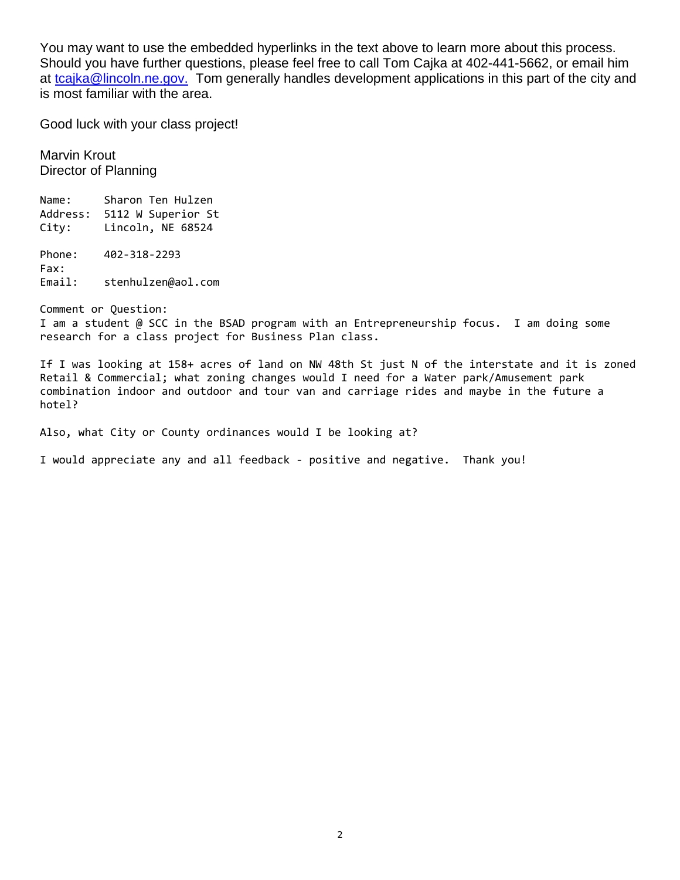You may want to use the embedded hyperlinks in the text above to learn more about this process. Should you have further questions, please feel free to call Tom Cajka at 402-441-5662, or email him at tcajka@lincoln.ne.gov. Tom generally handles development applications in this part of the city and is most familiar with the area.

Good luck with your class project!

Marvin Krout Director of Planning

Name: Sharon Ten Hulzen Address: 5112 W Superior St City: Lincoln, NE 68524 Phone: 402‐318‐2293

Fax: Email: stenhulzen@aol.com

Comment or Question: I am a student @ SCC in the BSAD program with an Entrepreneurship focus. I am doing some research for a class project for Business Plan class.

If I was looking at 158+ acres of land on NW 48th St just N of the interstate and it is zoned Retail & Commercial; what zoning changes would I need for a Water park/Amusement park combination indoor and outdoor and tour van and carriage rides and maybe in the future a hotel?

Also, what City or County ordinances would I be looking at?

I would appreciate any and all feedback ‐ positive and negative. Thank you!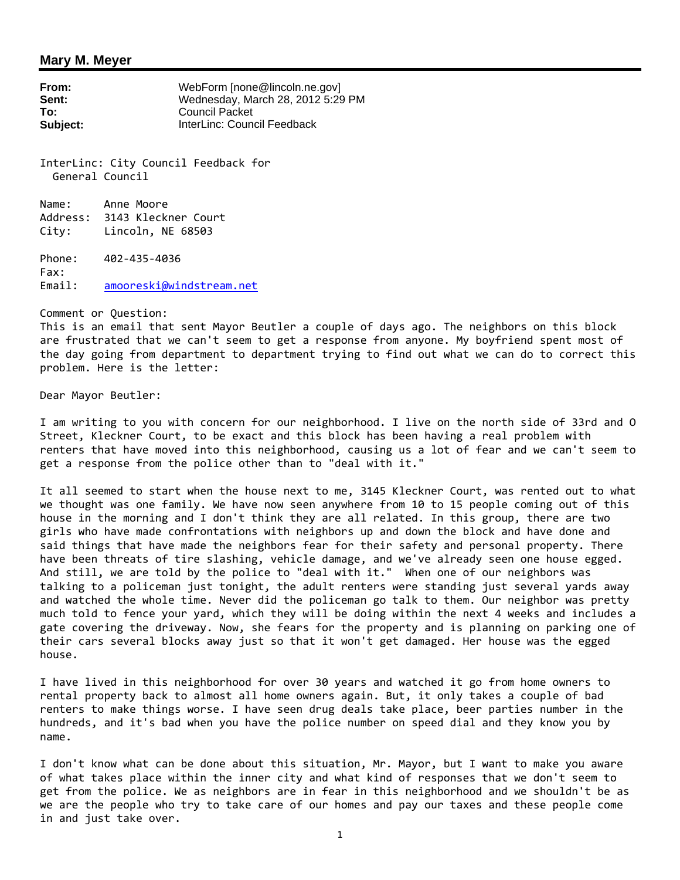### **Mary M. Meyer**

| From:    | WebForm [none@lincoln.ne.gov]     |
|----------|-----------------------------------|
| Sent:    | Wednesday, March 28, 2012 5:29 PM |
| To:      | Council Packet                    |
| Subject: | InterLinc: Council Feedback       |

InterLinc: City Council Feedback for General Council

Name: Anne Moore Address: 3143 Kleckner Court City: Lincoln, NE 68503

Phone: 402‐435‐4036 Fax: Email: amooreski@windstream.net

Comment or Question:

This is an email that sent Mayor Beutler a couple of days ago. The neighbors on this block are frustrated that we can't seem to get a response from anyone. My boyfriend spent most of the day going from department to department trying to find out what we can do to correct this problem. Here is the letter:

Dear Mayor Beutler:

I am writing to you with concern for our neighborhood. I live on the north side of 33rd and O Street, Kleckner Court, to be exact and this block has been having a real problem with renters that have moved into this neighborhood, causing us a lot of fear and we can't seem to get a response from the police other than to "deal with it."

It all seemed to start when the house next to me, 3145 Kleckner Court, was rented out to what we thought was one family. We have now seen anywhere from 10 to 15 people coming out of this house in the morning and I don't think they are all related. In this group, there are two girls who have made confrontations with neighbors up and down the block and have done and said things that have made the neighbors fear for their safety and personal property. There have been threats of tire slashing, vehicle damage, and we've already seen one house egged. And still, we are told by the police to "deal with it." When one of our neighbors was talking to a policeman just tonight, the adult renters were standing just several yards away and watched the whole time. Never did the policeman go talk to them. Our neighbor was pretty much told to fence your yard, which they will be doing within the next 4 weeks and includes a gate covering the driveway. Now, she fears for the property and is planning on parking one of their cars several blocks away just so that it won't get damaged. Her house was the egged house.

I have lived in this neighborhood for over 30 years and watched it go from home owners to rental property back to almost all home owners again. But, it only takes a couple of bad renters to make things worse. I have seen drug deals take place, beer parties number in the hundreds, and it's bad when you have the police number on speed dial and they know you by name.

I don't know what can be done about this situation, Mr. Mayor, but I want to make you aware of what takes place within the inner city and what kind of responses that we don't seem to get from the police. We as neighbors are in fear in this neighborhood and we shouldn't be as we are the people who try to take care of our homes and pay our taxes and these people come in and just take over.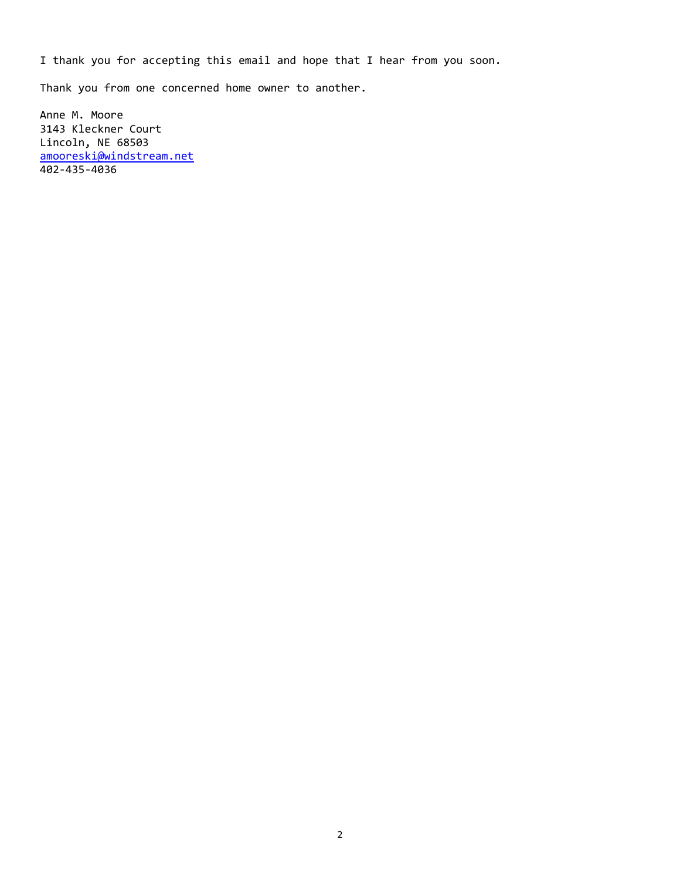I thank you for accepting this email and hope that I hear from you soon.

Thank you from one concerned home owner to another.

Anne M. Moore 3143 Kleckner Court Lincoln, NE 68503 amooreski@windstream.net 402‐435‐4036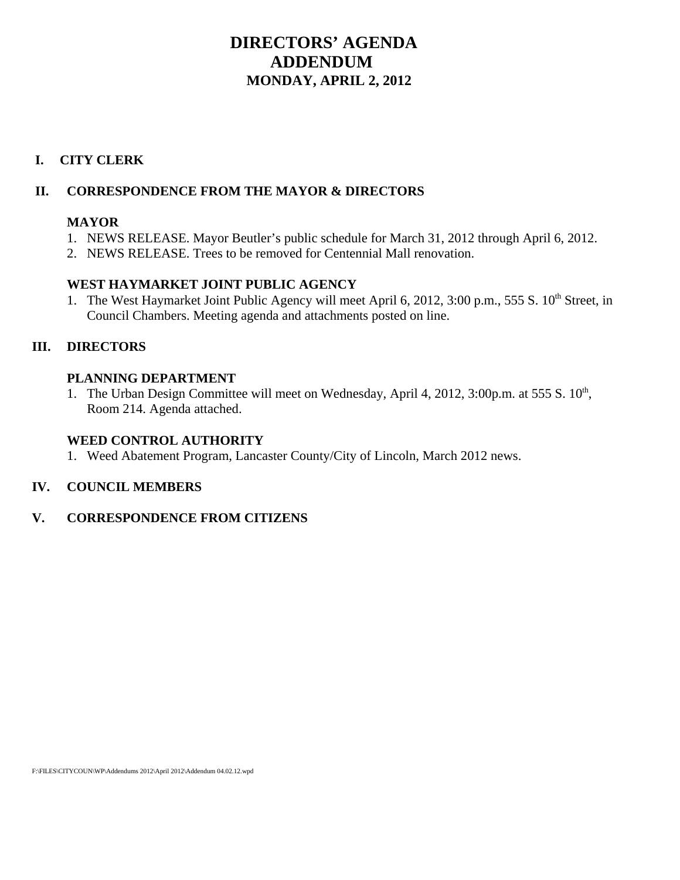# **DIRECTORS' AGENDA ADDENDUM MONDAY, APRIL 2, 2012**

### **I. CITY CLERK**

### **II. CORRESPONDENCE FROM THE MAYOR & DIRECTORS**

### **MAYOR**

- 1. NEWS RELEASE. Mayor Beutler's public schedule for March 31, 2012 through April 6, 2012.
- 2. NEWS RELEASE. Trees to be removed for Centennial Mall renovation.

### **WEST HAYMARKET JOINT PUBLIC AGENCY**

1. The West Haymarket Joint Public Agency will meet April 6, 2012, 3:00 p.m., 555 S. 10<sup>th</sup> Street, in Council Chambers. Meeting agenda and attachments posted on line.

### **III. DIRECTORS**

### **PLANNING DEPARTMENT**

1. The Urban Design Committee will meet on Wednesday, April 4, 2012, 3:00p.m. at 555 S. 10<sup>th</sup>, Room 214. Agenda attached.

### **WEED CONTROL AUTHORITY**

1. Weed Abatement Program, Lancaster County/City of Lincoln, March 2012 news.

### **IV. COUNCIL MEMBERS**

### **V. CORRESPONDENCE FROM CITIZENS**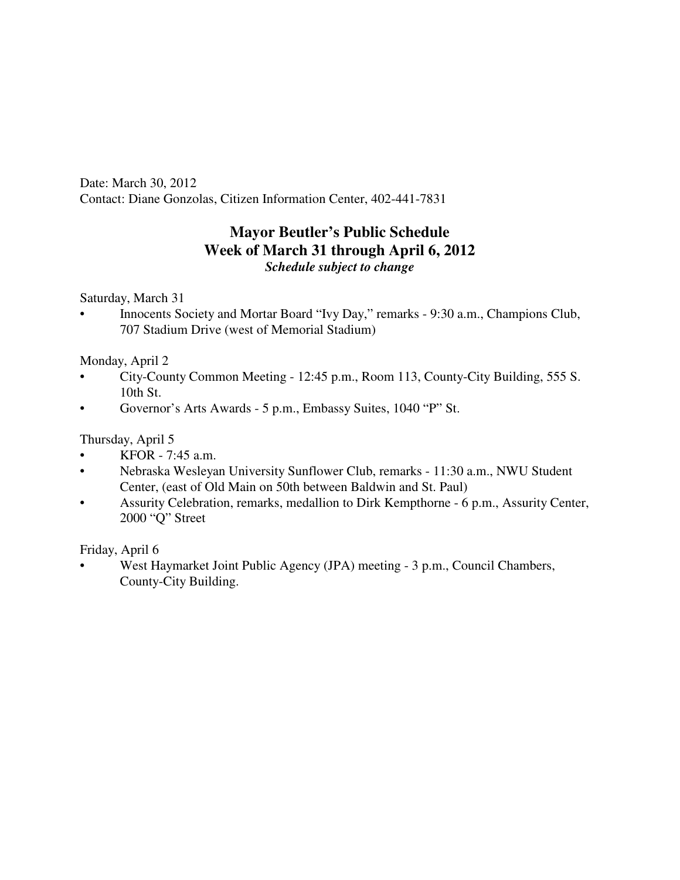Date: March 30, 2012 Contact: Diane Gonzolas, Citizen Information Center, 402-441-7831

### **Mayor Beutler's Public Schedule Week of March 31 through April 6, 2012** *Schedule subject to change*

Saturday, March 31

• Innocents Society and Mortar Board "Ivy Day," remarks - 9:30 a.m., Champions Club, 707 Stadium Drive (west of Memorial Stadium)

Monday, April 2

- City-County Common Meeting 12:45 p.m., Room 113, County-City Building, 555 S. 10th St.
- Governor's Arts Awards 5 p.m., Embassy Suites, 1040 "P" St.

Thursday, April 5

- KFOR 7:45 a.m.
- Nebraska Wesleyan University Sunflower Club, remarks 11:30 a.m., NWU Student Center, (east of Old Main on 50th between Baldwin and St. Paul)
- Assurity Celebration, remarks, medallion to Dirk Kempthorne 6 p.m., Assurity Center, 2000 "Q" Street

Friday, April 6

• West Haymarket Joint Public Agency (JPA) meeting - 3 p.m., Council Chambers, County-City Building.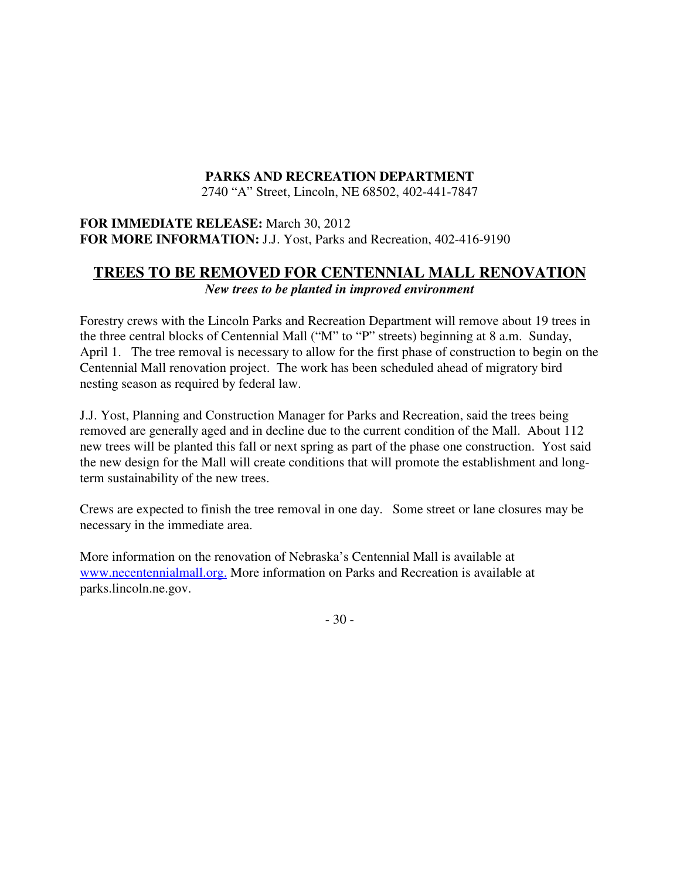### **PARKS AND RECREATION DEPARTMENT**

2740 "A" Street, Lincoln, NE 68502, 402-441-7847

### **FOR IMMEDIATE RELEASE:** March 30, 2012 **FOR MORE INFORMATION:** J.J. Yost, Parks and Recreation, 402-416-9190

# **TREES TO BE REMOVED FOR CENTENNIAL MALL RENOVATION**

*New trees to be planted in improved environment*

Forestry crews with the Lincoln Parks and Recreation Department will remove about 19 trees in the three central blocks of Centennial Mall ("M" to "P" streets) beginning at 8 a.m. Sunday, April 1. The tree removal is necessary to allow for the first phase of construction to begin on the Centennial Mall renovation project. The work has been scheduled ahead of migratory bird nesting season as required by federal law.

J.J. Yost, Planning and Construction Manager for Parks and Recreation, said the trees being removed are generally aged and in decline due to the current condition of the Mall. About 112 new trees will be planted this fall or next spring as part of the phase one construction. Yost said the new design for the Mall will create conditions that will promote the establishment and longterm sustainability of the new trees.

Crews are expected to finish the tree removal in one day. Some street or lane closures may be necessary in the immediate area.

More information on the renovation of Nebraska's Centennial Mall is available at www.necentennialmall.org. More information on Parks and Recreation is available at parks.lincoln.ne.gov.

- 30 -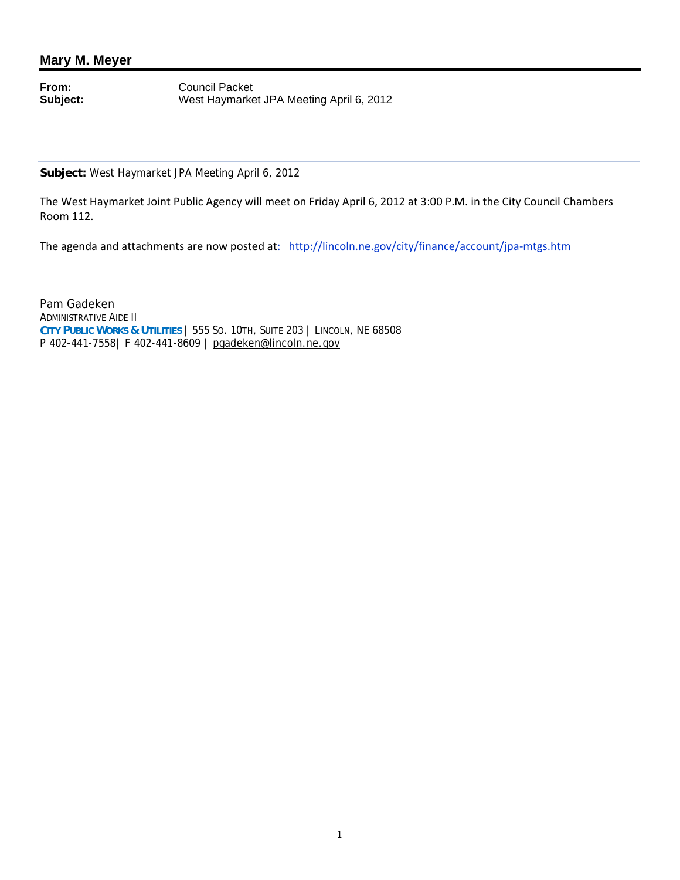### **Mary M. Meyer**

**From:** Council Packet<br> **Subject:** West Haymarke **Subject:** West Haymarket JPA Meeting April 6, 2012

**Subject:** West Haymarket JPA Meeting April 6, 2012

The West Haymarket Joint Public Agency will meet on Friday April 6, 2012 at 3:00 P.M. in the City Council Chambers Room 112.

The agenda and attachments are now posted at: http://lincoln.ne.gov/city/finance/account/jpa‐mtgs.htm

Pam Gadeken ADMINISTRATIVE AIDE II **CITY PUBLIC WORKS & UTILITIES** | 555 SO. 10TH, SUITE 203 | LINCOLN, NE 68508 P 402-441-7558| F 402-441-8609 | pgadeken@lincoln.ne.gov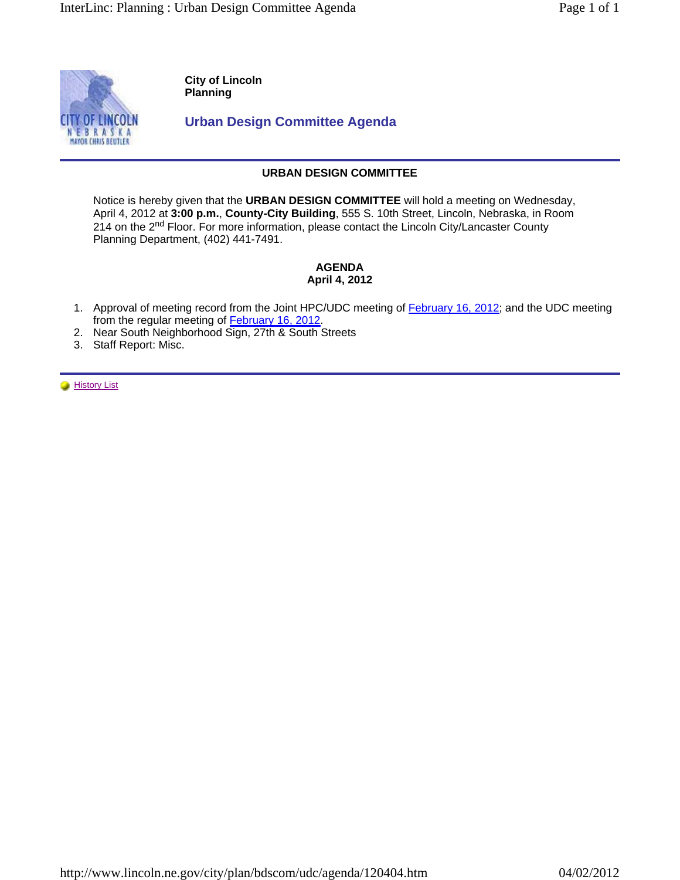

**City of Lincoln Planning**

**Urban Design Committee Agenda** 

### **URBAN DESIGN COMMITTEE**

Notice is hereby given that the **URBAN DESIGN COMMITTEE** will hold a meeting on Wednesday, April 4, 2012 at **3:00 p.m.**, **County-City Building**, 555 S. 10th Street, Lincoln, Nebraska, in Room 214 on the 2<sup>nd</sup> Floor. For more information, please contact the Lincoln City/Lancaster County Planning Department, (402) 441-7491.

### **AGENDA April 4, 2012**

- 1. Approval of meeting record from the Joint HPC/UDC meeting of **February 16, 2012**; and the UDC meeting from the regular meeting of **February 16, 2012.**
- 2. Near South Neighborhood Sign, 27th & South Streets
- 3. Staff Report: Misc.

**History List**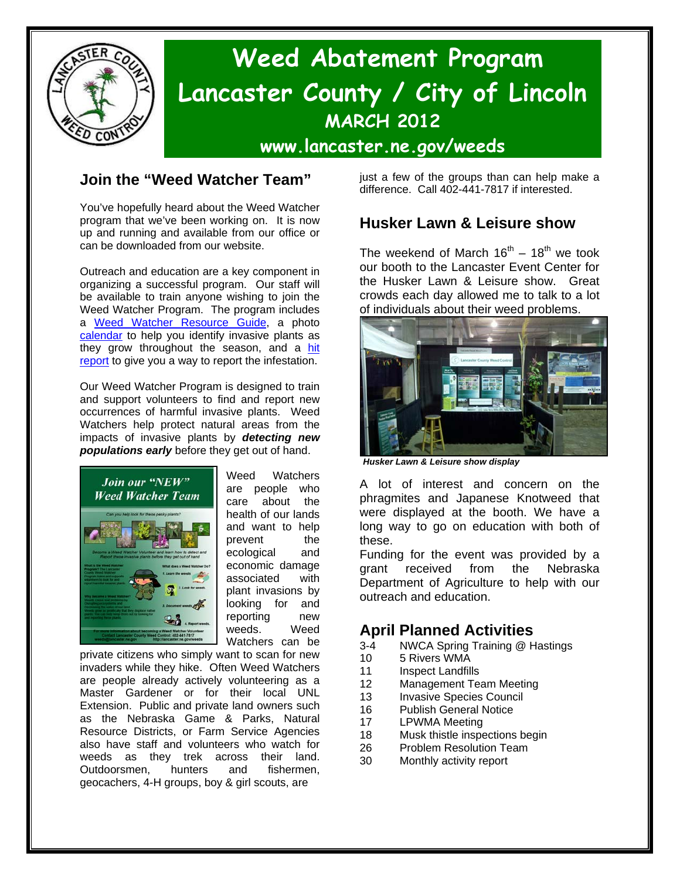

# **Weed Abatement Program Lancaster County / City of Lincoln MARCH 2012**

**www.lancaster.ne.gov/weeds** 

## **Join the "Weed Watcher Team"**

You've hopefully heard about the Weed Watcher program that we've been working on. It is now up and running and available from our office or can be downloaded from our website.

Outreach and education are a key component in organizing a successful program. Our staff will be available to train anyone wishing to join the Weed Watcher Program. The program includes a [Weed Watcher Resource Guide,](http://lancaster.ne.gov/weeds/pdf/weedwatcher.pdf) a photo [calendar](http://lancaster.ne.gov/weeds/pdf/calendar2.pdf) to help you identify invasive plants as they grow throughout the season, and a hit [report](http://lancaster.ne.gov/weeds/pdf/hitreport.pdf) to give you a way to report the infestation.

Our Weed Watcher Program is designed to train and support volunteers to find and report new occurrences of harmful invasive plants. Weed Watchers help protect natural areas from the impacts of invasive plants by *detecting new populations early* before they get out of hand.



Weed Watchers are people who care about the health of our lands and want to help prevent the ecological and economic damage associated with plant invasions by looking for and reporting new weeds. Weed Watchers can be

private citizens who simply want to scan for new invaders while they hike. Often Weed Watchers are people already actively volunteering as a Master Gardener or for their local UNL Extension. Public and private land owners such as the Nebraska Game & Parks, Natural Resource Districts, or Farm Service Agencies also have staff and volunteers who watch for weeds as they trek across their land. Outdoorsmen, hunters and fishermen, geocachers, 4-H groups, boy & girl scouts, are

just a few of the groups than can help make a difference. Call 402-441-7817 if interested.

### **Husker Lawn & Leisure show**

The weekend of March  $16^{th} - 18^{th}$  we took our booth to the Lancaster Event Center for the Husker Lawn & Leisure show. Great crowds each day allowed me to talk to a lot of individuals about their weed problems.



*Husker Lawn & Leisure show display* 

A lot of interest and concern on the phragmites and Japanese Knotweed that were displayed at the booth. We have a long way to go on education with both of these.

Funding for the event was provided by a grant received from the Nebraska Department of Agriculture to help with our outreach and education.

## **April Planned Activities**

- 3-4 NWCA Spring Training @ Hastings
- 10 5 Rivers WMA
- 11 **Inspect Landfills**
- 12 Management Team Meeting
- 13 Invasive Species Council
- 16 Publish General Notice
- 17 LPWMA Meeting
- 18 Musk thistle inspections begin
- 26 Problem Resolution Team
- 30 Monthly activity report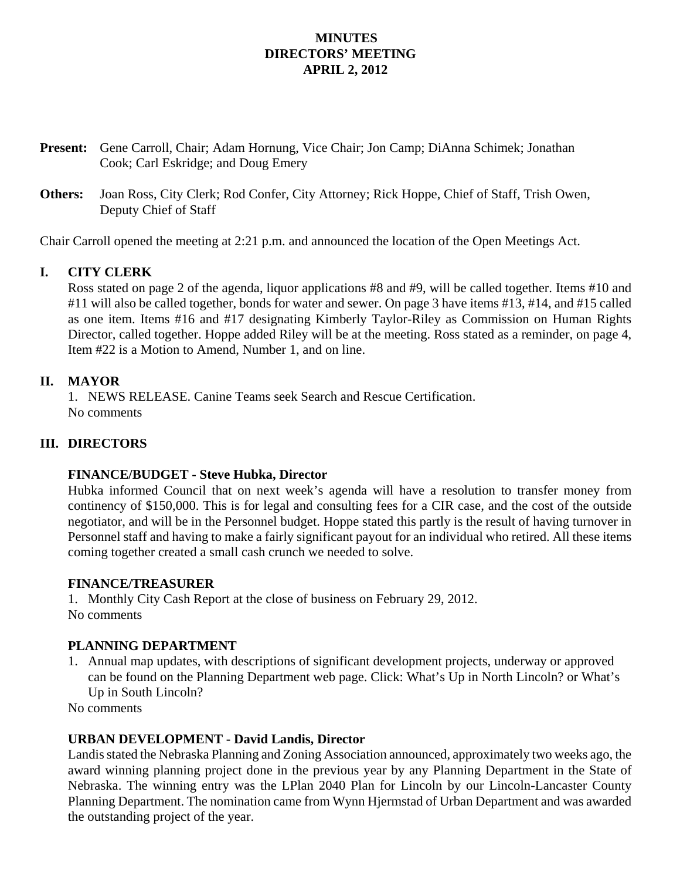### **MINUTES DIRECTORS' MEETING APRIL 2, 2012**

- **Present:** Gene Carroll, Chair; Adam Hornung, Vice Chair; Jon Camp; DiAnna Schimek; Jonathan Cook; Carl Eskridge; and Doug Emery
- **Others:** Joan Ross, City Clerk; Rod Confer, City Attorney; Rick Hoppe, Chief of Staff, Trish Owen, Deputy Chief of Staff

Chair Carroll opened the meeting at 2:21 p.m. and announced the location of the Open Meetings Act.

### **I. CITY CLERK**

Ross stated on page 2 of the agenda, liquor applications #8 and #9, will be called together. Items #10 and #11 will also be called together, bonds for water and sewer. On page 3 have items #13, #14, and #15 called as one item. Items #16 and #17 designating Kimberly Taylor-Riley as Commission on Human Rights Director, called together. Hoppe added Riley will be at the meeting. Ross stated as a reminder, on page 4, Item #22 is a Motion to Amend, Number 1, and on line.

### **II. MAYOR**

1. NEWS RELEASE. Canine Teams seek Search and Rescue Certification. No comments

### **III. DIRECTORS**

### **FINANCE/BUDGET - Steve Hubka, Director**

Hubka informed Council that on next week's agenda will have a resolution to transfer money from continency of \$150,000. This is for legal and consulting fees for a CIR case, and the cost of the outside negotiator, and will be in the Personnel budget. Hoppe stated this partly is the result of having turnover in Personnel staff and having to make a fairly significant payout for an individual who retired. All these items coming together created a small cash crunch we needed to solve.

### **FINANCE/TREASURER**

1. Monthly City Cash Report at the close of business on February 29, 2012. No comments

### **PLANNING DEPARTMENT**

1. Annual map updates, with descriptions of significant development projects, underway or approved can be found on the Planning Department web page. Click: What's Up in North Lincoln? or What's Up in South Lincoln?

No comments

### **URBAN DEVELOPMENT - David Landis, Director**

Landis stated the Nebraska Planning and Zoning Association announced, approximately two weeks ago, the award winning planning project done in the previous year by any Planning Department in the State of Nebraska. The winning entry was the LPlan 2040 Plan for Lincoln by our Lincoln-Lancaster County Planning Department. The nomination came from Wynn Hjermstad of Urban Department and was awarded the outstanding project of the year.